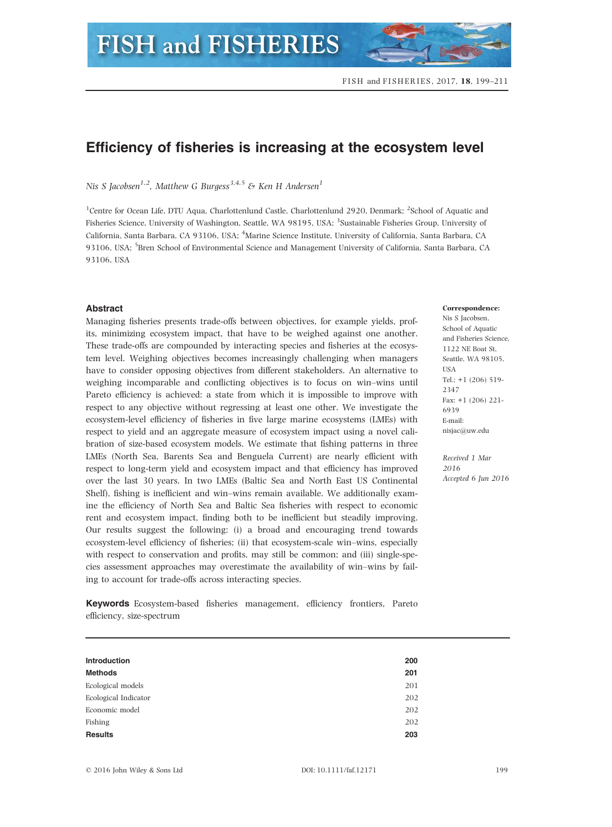# Efficiency of fisheries is increasing at the ecosystem level

Nis S Jacobsen<sup>1,2</sup>, Matthew G Burgess<sup>3,4,5</sup> & Ken H Andersen<sup>1</sup>

<sup>1</sup>Centre for Ocean Life, DTU Aqua, Charlottenlund Castle, Charlottenlund 2920, Denmark; <sup>2</sup>School of Aquatic and Fisheries Science, University of Washington, Seattle, WA 98195, USA; <sup>3</sup>Sustainable Fisheries Group, University of California, Santa Barbara, CA 93106, USA; <sup>4</sup>Marine Science Institute, University of California, Santa Barbara, CA 93106, USA; <sup>5</sup>Bren School of Environmental Science and Management University of California, Santa Barbara, CA 93106, USA

## Abstract

Managing fisheries presents trade-offs between objectives, for example yields, profits, minimizing ecosystem impact, that have to be weighed against one another. These trade-offs are compounded by interacting species and fisheries at the ecosystem level. Weighing objectives becomes increasingly challenging when managers have to consider opposing objectives from different stakeholders. An alternative to weighing incomparable and conflicting objectives is to focus on win–wins until Pareto efficiency is achieved: a state from which it is impossible to improve with respect to any objective without regressing at least one other. We investigate the ecosystem-level efficiency of fisheries in five large marine ecosystems (LMEs) with respect to yield and an aggregate measure of ecosystem impact using a novel calibration of size-based ecosystem models. We estimate that fishing patterns in three LMEs (North Sea, Barents Sea and Benguela Current) are nearly efficient with respect to long-term yield and ecosystem impact and that efficiency has improved over the last 30 years. In two LMEs (Baltic Sea and North East US Continental Shelf), fishing is inefficient and win–wins remain available. We additionally examine the efficiency of North Sea and Baltic Sea fisheries with respect to economic rent and ecosystem impact, finding both to be inefficient but steadily improving. Our results suggest the following: (i) a broad and encouraging trend towards ecosystem-level efficiency of fisheries; (ii) that ecosystem-scale win–wins, especially with respect to conservation and profits, may still be common; and (iii) single-species assessment approaches may overestimate the availability of win–wins by failing to account for trade-offs across interacting species.

Keywords Ecosystem-based fisheries management, efficiency frontiers, Pareto efficiency, size-spectrum

| <b>Introduction</b>  | 200 |
|----------------------|-----|
| <b>Methods</b>       | 201 |
| Ecological models    | 201 |
| Ecological Indicator | 202 |
| Economic model       | 202 |
| Fishing              | 202 |
| <b>Results</b>       | 203 |

#### Correspondence:

Nis S Jacobsen, School of Aquatic and Fisheries Science, 1122 NE Boat St, Seattle, WA 98105, USA Tel.: +1 (206) 519- 2347 Fax: +1 (206) 221- 6939 E-mail: nisjac@uw.edu

Received 1 Mar 2016 Accepted 6 Jun 2016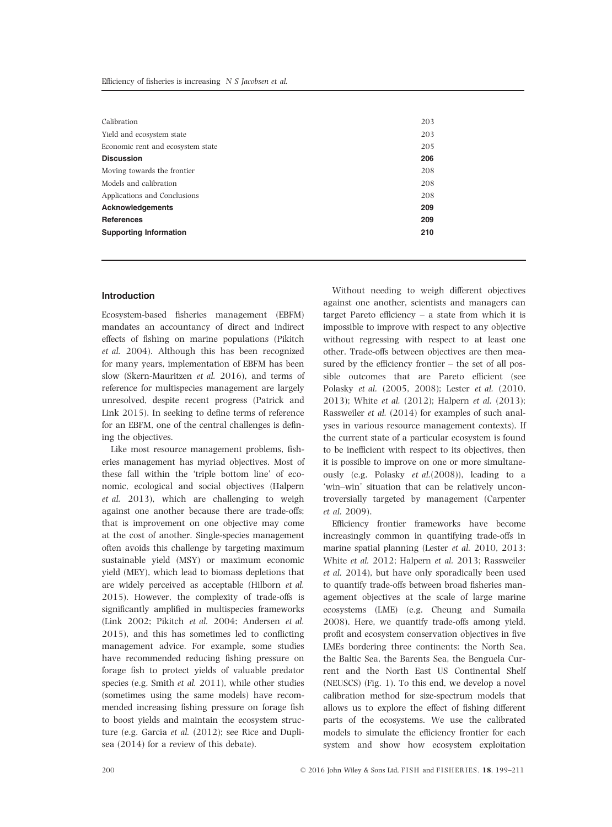| Calibration                       | 203 |
|-----------------------------------|-----|
|                                   |     |
| Yield and ecosystem state         | 203 |
| Economic rent and ecosystem state | 205 |
| <b>Discussion</b>                 | 206 |
| Moving towards the frontier       | 208 |
| Models and calibration            | 208 |
| Applications and Conclusions      | 208 |
| <b>Acknowledgements</b>           | 209 |
| <b>References</b>                 | 209 |
| <b>Supporting Information</b>     | 210 |
|                                   |     |

## Introduction

Ecosystem-based fisheries management (EBFM) mandates an accountancy of direct and indirect effects of fishing on marine populations (Pikitch et al. 2004). Although this has been recognized for many years, implementation of EBFM has been slow (Skern-Mauritzen et al. 2016), and terms of reference for multispecies management are largely unresolved, despite recent progress (Patrick and Link 2015). In seeking to define terms of reference for an EBFM, one of the central challenges is defining the objectives.

Like most resource management problems, fisheries management has myriad objectives. Most of these fall within the 'triple bottom line' of economic, ecological and social objectives (Halpern et al. 2013), which are challenging to weigh against one another because there are trade-offs; that is improvement on one objective may come at the cost of another. Single-species management often avoids this challenge by targeting maximum sustainable yield (MSY) or maximum economic yield (MEY), which lead to biomass depletions that are widely perceived as acceptable (Hilborn et al. 2015). However, the complexity of trade-offs is significantly amplified in multispecies frameworks (Link 2002; Pikitch et al. 2004; Andersen et al. 2015), and this has sometimes led to conflicting management advice. For example, some studies have recommended reducing fishing pressure on forage fish to protect yields of valuable predator species (e.g. Smith et al. 2011), while other studies (sometimes using the same models) have recommended increasing fishing pressure on forage fish to boost yields and maintain the ecosystem structure (e.g. Garcia et al. (2012); see Rice and Duplisea (2014) for a review of this debate).

Without needing to weigh different objectives against one another, scientists and managers can target Pareto efficiency – a state from which it is impossible to improve with respect to any objective without regressing with respect to at least one other. Trade-offs between objectives are then measured by the efficiency frontier – the set of all possible outcomes that are Pareto efficient (see Polasky et al. (2005, 2008); Lester et al. (2010, 2013); White et al. (2012); Halpern et al. (2013); Rassweiler et al. (2014) for examples of such analyses in various resource management contexts). If the current state of a particular ecosystem is found to be inefficient with respect to its objectives, then it is possible to improve on one or more simultaneously (e.g. Polasky et al.(2008)), leading to a 'win–win' situation that can be relatively uncontroversially targeted by management (Carpenter et al. 2009).

Efficiency frontier frameworks have become increasingly common in quantifying trade-offs in marine spatial planning (Lester et al. 2010, 2013; White et al. 2012; Halpern et al. 2013; Rassweiler et al. 2014), but have only sporadically been used to quantify trade-offs between broad fisheries management objectives at the scale of large marine ecosystems (LME) (e.g. Cheung and Sumaila 2008). Here, we quantify trade-offs among yield, profit and ecosystem conservation objectives in five LMEs bordering three continents: the North Sea, the Baltic Sea, the Barents Sea, the Benguela Current and the North East US Continental Shelf (NEUSCS) (Fig. 1). To this end, we develop a novel calibration method for size-spectrum models that allows us to explore the effect of fishing different parts of the ecosystems. We use the calibrated models to simulate the efficiency frontier for each system and show how ecosystem exploitation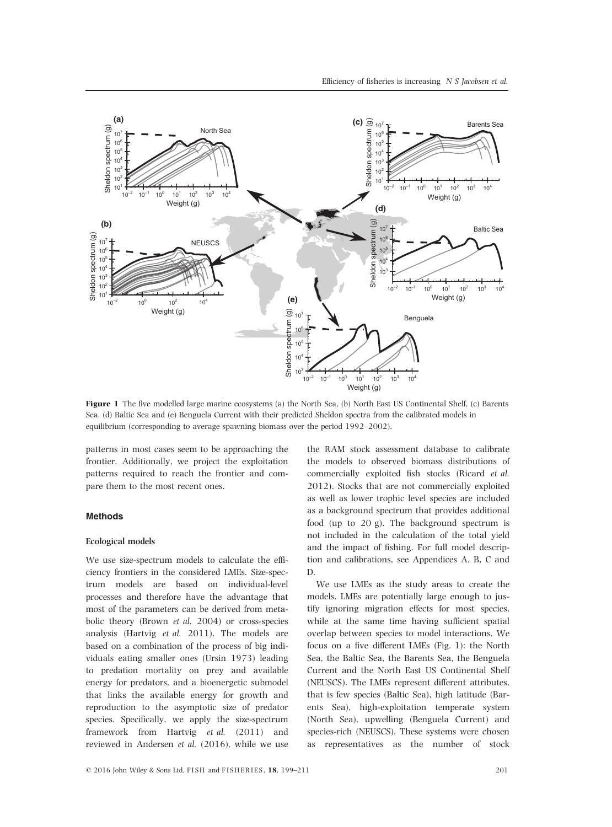

Figure 1 The five modelled large marine ecosystems (a) the North Sea, (b) North East US Continental Shelf, (c) Barents Sea, (d) Baltic Sea and (e) Benguela Current with their predicted Sheldon spectra from the calibrated models in equilibrium (corresponding to average spawning biomass over the period 1992–2002).

patterns in most cases seem to be approaching the frontier. Additionally, we project the exploitation patterns required to reach the frontier and compare them to the most recent ones.

# Methods

#### Ecological models

We use size-spectrum models to calculate the efficiency frontiers in the considered LMEs. Size-spectrum models are based on individual-level processes and therefore have the advantage that most of the parameters can be derived from metabolic theory (Brown et al. 2004) or cross-species analysis (Hartvig et al. 2011). The models are based on a combination of the process of big individuals eating smaller ones (Ursin 1973) leading to predation mortality on prey and available energy for predators, and a bioenergetic submodel that links the available energy for growth and reproduction to the asymptotic size of predator species. Specifically, we apply the size-spectrum framework from Hartvig et al. (2011) and reviewed in Andersen et al. (2016), while we use

the RAM stock assessment database to calibrate the models to observed biomass distributions of commercially exploited fish stocks (Ricard et al. 2012). Stocks that are not commercially exploited as well as lower trophic level species are included as a background spectrum that provides additional food (up to 20 g). The background spectrum is not included in the calculation of the total yield and the impact of fishing. For full model description and calibrations, see Appendices A, B, C and D.

We use LMEs as the study areas to create the models. LMEs are potentially large enough to justify ignoring migration effects for most species, while at the same time having sufficient spatial overlap between species to model interactions. We focus on a five different LMEs (Fig. 1): the North Sea, the Baltic Sea, the Barents Sea, the Benguela Current and the North East US Continental Shelf (NEUSCS). The LMEs represent different attributes, that is few species (Baltic Sea), high latitude (Barents Sea), high-exploitation temperate system (North Sea), upwelling (Benguela Current) and species-rich (NEUSCS). These systems were chosen as representatives as the number of stock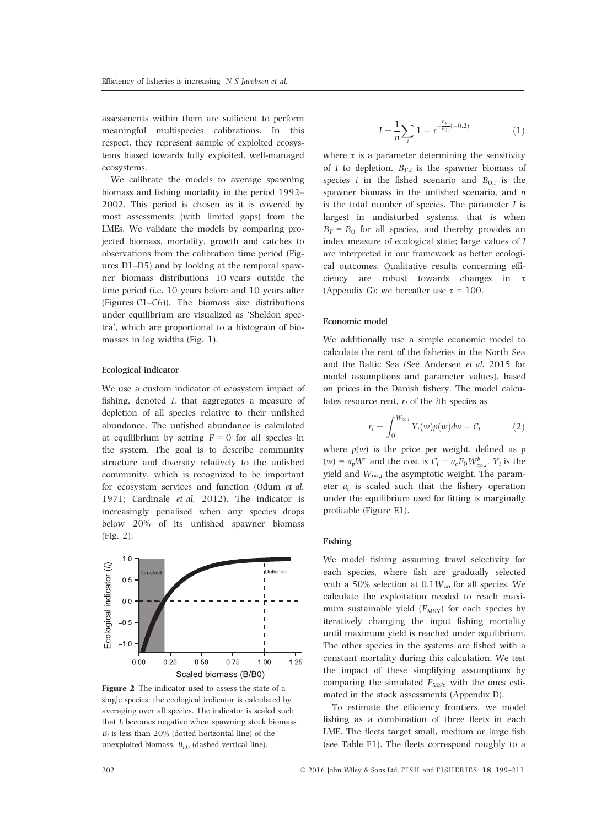assessments within them are sufficient to perform meaningful multispecies calibrations. In this respect, they represent sample of exploited ecosystems biased towards fully exploited, well-managed ecosystems.

We calibrate the models to average spawning biomass and fishing mortality in the period 1992– 2002. This period is chosen as it is covered by most assessments (with limited gaps) from the LMEs. We validate the models by comparing projected biomass, mortality, growth and catches to observations from the calibration time period (Figures D1–D5) and by looking at the temporal spawner biomass distributions 10 years outside the time period (i.e. 10 years before and 10 years after (Figures C1–C6)). The biomass size distributions under equilibrium are visualized as 'Sheldon spectra', which are proportional to a histogram of biomasses in log widths (Fig. 1).

## Ecological indicator

We use a custom indicator of ecosystem impact of fishing, denoted I, that aggregates a measure of depletion of all species relative to their unfished abundance. The unfished abundance is calculated at equilibrium by setting  $F = 0$  for all species in the system. The goal is to describe community structure and diversity relatively to the unfished community, which is recognized to be important for ecosystem services and function (Odum et al. 1971; Cardinale et al. 2012). The indicator is increasingly penalised when any species drops below 20% of its unfished spawner biomass (Fig. 2):



Figure 2 The indicator used to assess the state of a single species; the ecological indicator is calculated by averaging over all species. The indicator is scaled such that  $I_i$  becomes negative when spawning stock biomass  $B_i$  is less than 20% (dotted horizontal line) of the unexploited biomass,  $B_{i,0}$  (dashed vertical line).

$$
I = \frac{1}{n} \sum_{i} 1 - \tau^{-\frac{B_{F,l}}{B_{0,l}}(-0.2)}
$$
(1)

where  $\tau$  is a parameter determining the sensitivity of I to depletion.  $B_{F,i}$  is the spawner biomass of species *i* in the fished scenario and  $B_{0,i}$  is the spawner biomass in the unfished scenario, and *n* is the total number of species. The parameter  $I$  is largest in undisturbed systems, that is when  $B_F = B_0$  for all species, and thereby provides an index measure of ecological state; large values of I are interpreted in our framework as better ecological outcomes. Qualitative results concerning efficiency are robust towards changes in  $\tau$ (Appendix G); we hereafter use  $\tau = 100$ .

## Economic model

We additionally use a simple economic model to calculate the rent of the fisheries in the North Sea and the Baltic Sea (See Andersen et al. 2015 for model assumptions and parameter values), based on prices in the Danish fishery. The model calculates resource rent,  $r_i$  of the ith species as

$$
r_i = \int_0^{W_{\infty,i}} Y_i(w)p(w)dw - C_i \tag{2}
$$

where  $p(w)$  is the price per weight, defined as p  $(w) = a_p W^c$  and the cost is  $C_i = a_c F_0 W^b_{\infty,i}$ .  $Y_i$  is the yield and  $W_{\infty,i}$  the asymptotic weight. The parameter  $a_c$  is scaled such that the fishery operation under the equilibrium used for fitting is marginally profitable (Figure E1).

#### Fishing

We model fishing assuming trawl selectivity for each species, where fish are gradually selected with a 50% selection at  $0.1W_{\infty}$  for all species. We calculate the exploitation needed to reach maximum sustainable yield  $(F_{\text{MSY}})$  for each species by iteratively changing the input fishing mortality until maximum yield is reached under equilibrium. The other species in the systems are fished with a constant mortality during this calculation. We test the impact of these simplifying assumptions by comparing the simulated  $F_{\text{MSY}}$  with the ones estimated in the stock assessments (Appendix D).

To estimate the efficiency frontiers, we model fishing as a combination of three fleets in each LME. The fleets target small, medium or large fish (see Table F1). The fleets correspond roughly to a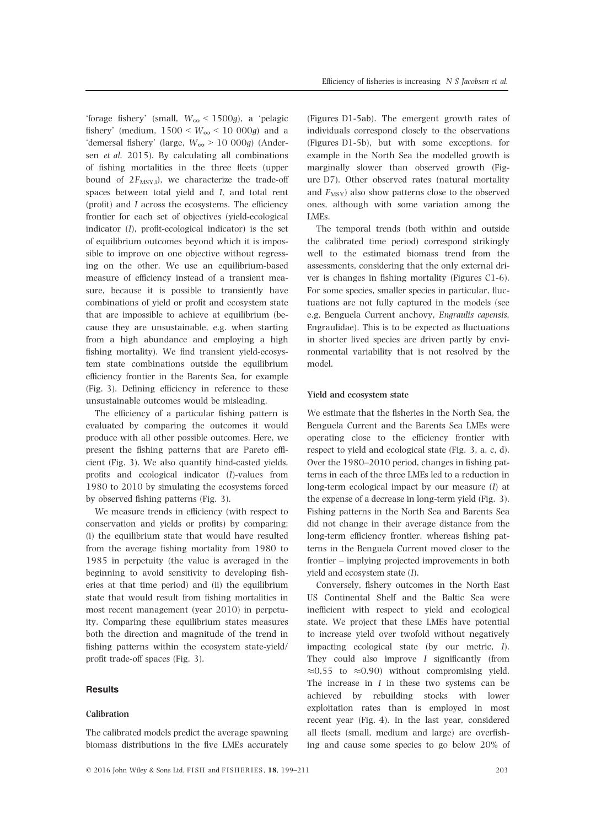'forage fishery' (small,  $W_{\infty}$  < 1500g), a 'pelagic fishery' (medium,  $1500 \leq W_{\infty} \leq 10000g$ ) and a 'demersal fishery' (large,  $W_{\infty} > 10000g$ ) (Andersen et al. 2015). By calculating all combinations of fishing mortalities in the three fleets (upper bound of  $2F_{\text{MSY,i}}$ , we characterize the trade-off spaces between total yield and I, and total rent (profit) and I across the ecosystems. The efficiency frontier for each set of objectives (yield-ecological indicator (I), profit-ecological indicator) is the set of equilibrium outcomes beyond which it is impossible to improve on one objective without regressing on the other. We use an equilibrium-based measure of efficiency instead of a transient measure, because it is possible to transiently have combinations of yield or profit and ecosystem state that are impossible to achieve at equilibrium (because they are unsustainable, e.g. when starting from a high abundance and employing a high fishing mortality). We find transient yield-ecosystem state combinations outside the equilibrium efficiency frontier in the Barents Sea, for example (Fig. 3). Defining efficiency in reference to these unsustainable outcomes would be misleading.

The efficiency of a particular fishing pattern is evaluated by comparing the outcomes it would produce with all other possible outcomes. Here, we present the fishing patterns that are Pareto efficient (Fig. 3). We also quantify hind-casted yields, profits and ecological indicator (I)-values from 1980 to 2010 by simulating the ecosystems forced by observed fishing patterns (Fig. 3).

We measure trends in efficiency (with respect to conservation and yields or profits) by comparing: (i) the equilibrium state that would have resulted from the average fishing mortality from 1980 to 1985 in perpetuity (the value is averaged in the beginning to avoid sensitivity to developing fisheries at that time period) and (ii) the equilibrium state that would result from fishing mortalities in most recent management (year 2010) in perpetuity. Comparing these equilibrium states measures both the direction and magnitude of the trend in fishing patterns within the ecosystem state-yield/ profit trade-off spaces (Fig. 3).

## **Results**

## Calibration

The calibrated models predict the average spawning biomass distributions in the five LMEs accurately

(Figures D1-5ab). The emergent growth rates of individuals correspond closely to the observations (Figures D1-5b), but with some exceptions, for example in the North Sea the modelled growth is marginally slower than observed growth (Figure D7). Other observed rates (natural mortality and  $F_{\text{MSY}}$ ) also show patterns close to the observed ones, although with some variation among the LMEs.

The temporal trends (both within and outside the calibrated time period) correspond strikingly well to the estimated biomass trend from the assessments, considering that the only external driver is changes in fishing mortality (Figures C1-6). For some species, smaller species in particular, fluctuations are not fully captured in the models (see e.g. Benguela Current anchovy, Engraulis capensis, Engraulidae). This is to be expected as fluctuations in shorter lived species are driven partly by environmental variability that is not resolved by the model.

#### Yield and ecosystem state

We estimate that the fisheries in the North Sea, the Benguela Current and the Barents Sea LMEs were operating close to the efficiency frontier with respect to yield and ecological state (Fig. 3, a, c, d). Over the 1980–2010 period, changes in fishing patterns in each of the three LMEs led to a reduction in long-term ecological impact by our measure (I) at the expense of a decrease in long-term yield (Fig. 3). Fishing patterns in the North Sea and Barents Sea did not change in their average distance from the long-term efficiency frontier, whereas fishing patterns in the Benguela Current moved closer to the frontier – implying projected improvements in both yield and ecosystem state (I).

Conversely, fishery outcomes in the North East US Continental Shelf and the Baltic Sea were inefficient with respect to yield and ecological state. We project that these LMEs have potential to increase yield over twofold without negatively impacting ecological state (by our metric, I). They could also improve I significantly (from  $\approx 0.55$  to  $\approx 0.90$ ) without compromising yield. The increase in  $I$  in these two systems can be achieved by rebuilding stocks with lower exploitation rates than is employed in most recent year (Fig. 4). In the last year, considered all fleets (small, medium and large) are overfishing and cause some species to go below 20% of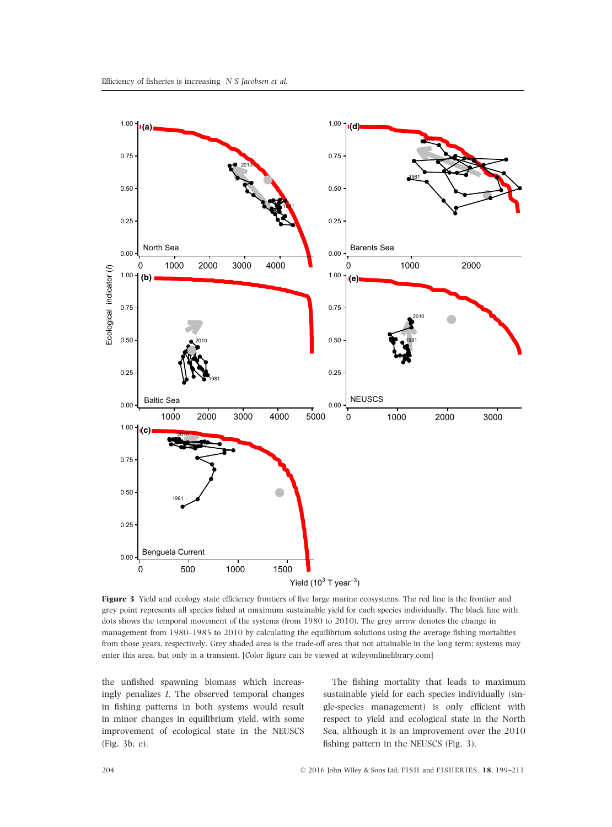

Figure 3 Yield and ecology state efficiency frontiers of five large marine ecosystems. The red line is the frontier and grey point represents all species fished at maximum sustainable yield for each species individually. The black line with dots shows the temporal movement of the systems (from 1980 to 2010). The grey arrow denotes the change in management from 1980–1985 to 2010 by calculating the equilibrium solutions using the average fishing mortalities from those years, respectively. Grey shaded area is the trade-off area that not attainable in the long term; systems may enter this area, but only in a transient. [Color figure can be viewed at<wileyonlinelibrary.com>]

the unfished spawning biomass which increasingly penalizes I. The observed temporal changes in fishing patterns in both systems would result in minor changes in equilibrium yield, with some improvement of ecological state in the NEUSCS (Fig. 3b, e).

The fishing mortality that leads to maximum sustainable yield for each species individually (single-species management) is only efficient with respect to yield and ecological state in the North Sea, although it is an improvement over the 2010 fishing pattern in the NEUSCS (Fig. 3).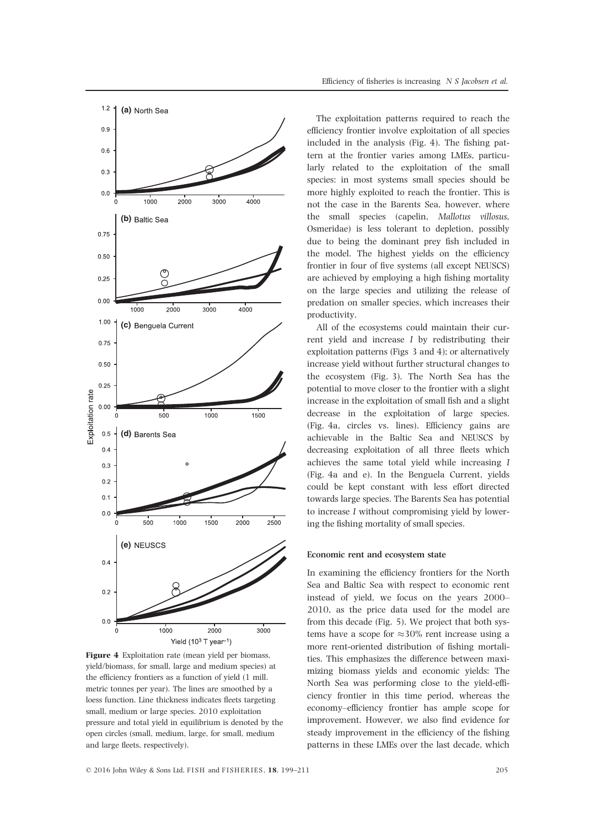

Figure 4 Exploitation rate (mean yield per biomass, yield/biomass, for small, large and medium species) at the efficiency frontiers as a function of yield (1 mill. metric tonnes per year). The lines are smoothed by a loess function. Line thickness indicates fleets targeting small, medium or large species. 2010 exploitation pressure and total yield in equilibrium is denoted by the open circles (small, medium, large, for small, medium and large fleets, respectively).

The exploitation patterns required to reach the efficiency frontier involve exploitation of all species included in the analysis (Fig. 4). The fishing pattern at the frontier varies among LMEs, particularly related to the exploitation of the small species: in most systems small species should be more highly exploited to reach the frontier. This is not the case in the Barents Sea, however, where the small species (capelin, Mallotus villosus, Osmeridae) is less tolerant to depletion, possibly due to being the dominant prey fish included in the model. The highest yields on the efficiency frontier in four of five systems (all except NEUSCS) are achieved by employing a high fishing mortality on the large species and utilizing the release of predation on smaller species, which increases their productivity.

All of the ecosystems could maintain their current yield and increase I by redistributing their exploitation patterns (Figs 3 and 4); or alternatively increase yield without further structural changes to the ecosystem (Fig. 3). The North Sea has the potential to move closer to the frontier with a slight increase in the exploitation of small fish and a slight decrease in the exploitation of large species. (Fig. 4a, circles vs. lines). Efficiency gains are achievable in the Baltic Sea and NEUSCS by decreasing exploitation of all three fleets which achieves the same total yield while increasing I (Fig. 4a and e). In the Benguela Current, yields could be kept constant with less effort directed towards large species. The Barents Sea has potential to increase I without compromising yield by lowering the fishing mortality of small species.

#### Economic rent and ecosystem state

In examining the efficiency frontiers for the North Sea and Baltic Sea with respect to economic rent instead of yield, we focus on the years 2000– 2010, as the price data used for the model are from this decade (Fig. 5). We project that both systems have a scope for  $\approx 30\%$  rent increase using a more rent-oriented distribution of fishing mortalities. This emphasizes the difference between maximizing biomass yields and economic yields: The North Sea was performing close to the yield-efficiency frontier in this time period, whereas the economy–efficiency frontier has ample scope for improvement. However, we also find evidence for steady improvement in the efficiency of the fishing patterns in these LMEs over the last decade, which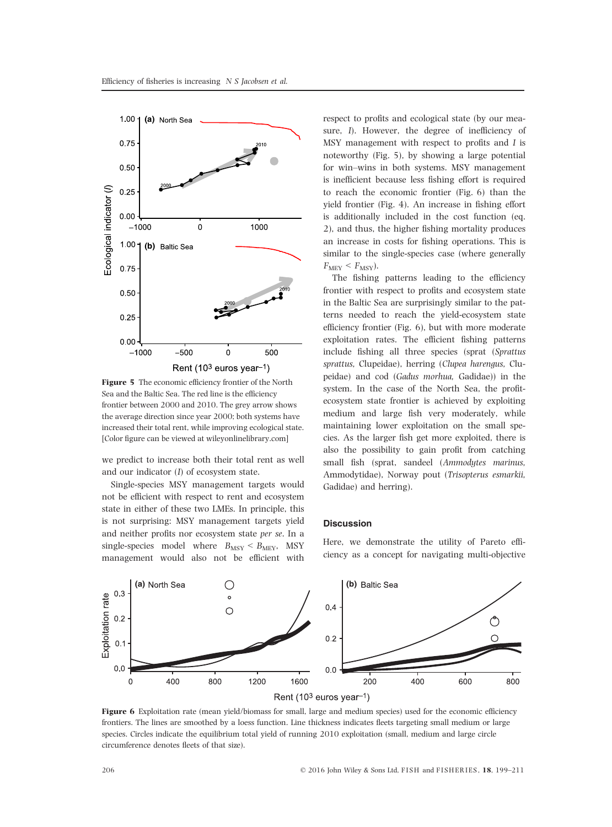

Figure 5 The economic efficiency frontier of the North Sea and the Baltic Sea. The red line is the efficiency frontier between 2000 and 2010. The grey arrow shows the average direction since year 2000; both systems have increased their total rent, while improving ecological state. [Color figure can be viewed at<wileyonlinelibrary.com>]

we predict to increase both their total rent as well and our indicator (I) of ecosystem state.

Single-species MSY management targets would not be efficient with respect to rent and ecosystem state in either of these two LMEs. In principle, this is not surprising: MSY management targets yield and neither profits nor ecosystem state per se. In a single-species model where  $B_{\text{MSY}} < B_{\text{MEY}}$ , MSY management would also not be efficient with respect to profits and ecological state (by our measure, I). However, the degree of inefficiency of MSY management with respect to profits and I is noteworthy (Fig. 5), by showing a large potential for win–wins in both systems. MSY management is inefficient because less fishing effort is required to reach the economic frontier (Fig. 6) than the yield frontier (Fig. 4). An increase in fishing effort is additionally included in the cost function (eq. 2), and thus, the higher fishing mortality produces an increase in costs for fishing operations. This is similar to the single-species case (where generally  $F_{\text{MEV}} < F_{\text{MSY}}$ ).

The fishing patterns leading to the efficiency frontier with respect to profits and ecosystem state in the Baltic Sea are surprisingly similar to the patterns needed to reach the yield-ecosystem state efficiency frontier (Fig. 6), but with more moderate exploitation rates. The efficient fishing patterns include fishing all three species (sprat (Sprattus sprattus, Clupeidae), herring (Clupea harengus, Clupeidae) and cod (Gadus morhua, Gadidae)) in the system. In the case of the North Sea, the profitecosystem state frontier is achieved by exploiting medium and large fish very moderately, while maintaining lower exploitation on the small species. As the larger fish get more exploited, there is also the possibility to gain profit from catching small fish (sprat, sandeel (Ammodytes marinus, Ammodytidae), Norway pout (Trisopterus esmarkii, Gadidae) and herring).

#### **Discussion**

Here, we demonstrate the utility of Pareto efficiency as a concept for navigating multi-objective



Figure 6 Exploitation rate (mean yield/biomass for small, large and medium species) used for the economic efficiency frontiers. The lines are smoothed by a loess function. Line thickness indicates fleets targeting small medium or large species. Circles indicate the equilibrium total yield of running 2010 exploitation (small, medium and large circle circumference denotes fleets of that size).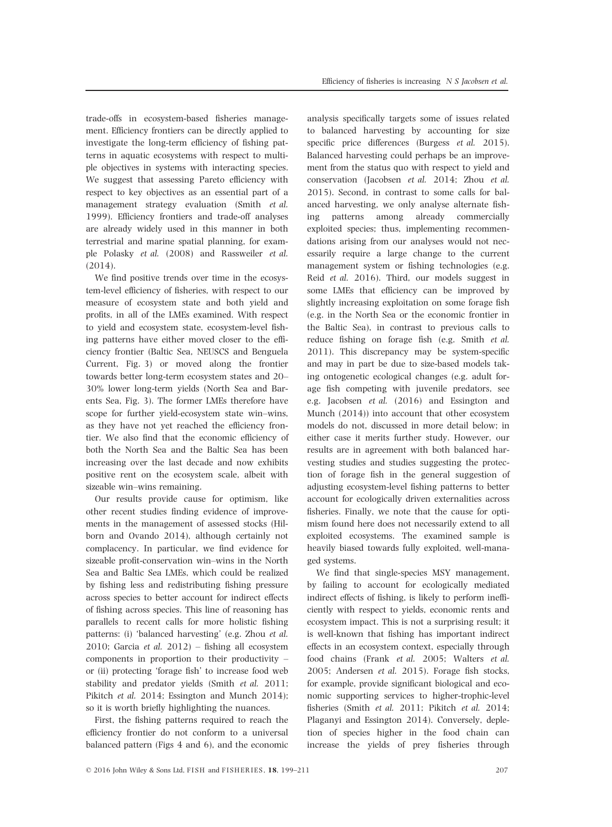trade-offs in ecosystem-based fisheries management. Efficiency frontiers can be directly applied to investigate the long-term efficiency of fishing patterns in aquatic ecosystems with respect to multiple objectives in systems with interacting species. We suggest that assessing Pareto efficiency with respect to key objectives as an essential part of a management strategy evaluation (Smith et al. 1999). Efficiency frontiers and trade-off analyses are already widely used in this manner in both terrestrial and marine spatial planning, for example Polasky et al. (2008) and Rassweiler et al. (2014).

We find positive trends over time in the ecosystem-level efficiency of fisheries, with respect to our measure of ecosystem state and both yield and profits, in all of the LMEs examined. With respect to yield and ecosystem state, ecosystem-level fishing patterns have either moved closer to the efficiency frontier (Baltic Sea, NEUSCS and Benguela Current, Fig. 3) or moved along the frontier towards better long-term ecosystem states and 20– 30% lower long-term yields (North Sea and Barents Sea, Fig. 3). The former LMEs therefore have scope for further yield-ecosystem state win–wins, as they have not yet reached the efficiency frontier. We also find that the economic efficiency of both the North Sea and the Baltic Sea has been increasing over the last decade and now exhibits positive rent on the ecosystem scale, albeit with sizeable win–wins remaining.

Our results provide cause for optimism, like other recent studies finding evidence of improvements in the management of assessed stocks (Hilborn and Ovando 2014), although certainly not complacency. In particular, we find evidence for sizeable profit-conservation win–wins in the North Sea and Baltic Sea LMEs, which could be realized by fishing less and redistributing fishing pressure across species to better account for indirect effects of fishing across species. This line of reasoning has parallels to recent calls for more holistic fishing patterns: (i) 'balanced harvesting' (e.g. Zhou et al. 2010; Garcia et al. 2012) – fishing all ecosystem components in proportion to their productivity – or (ii) protecting 'forage fish' to increase food web stability and predator yields (Smith et al. 2011; Pikitch et al. 2014; Essington and Munch 2014); so it is worth briefly highlighting the nuances.

First, the fishing patterns required to reach the efficiency frontier do not conform to a universal balanced pattern (Figs 4 and 6), and the economic

analysis specifically targets some of issues related to balanced harvesting by accounting for size specific price differences (Burgess *et al.* 2015). Balanced harvesting could perhaps be an improvement from the status quo with respect to yield and conservation (Jacobsen et al. 2014; Zhou et al. 2015). Second, in contrast to some calls for balanced harvesting, we only analyse alternate fishing patterns among already commercially exploited species; thus, implementing recommendations arising from our analyses would not necessarily require a large change to the current management system or fishing technologies (e.g. Reid et al. 2016). Third, our models suggest in some LMEs that efficiency can be improved by slightly increasing exploitation on some forage fish (e.g. in the North Sea or the economic frontier in the Baltic Sea), in contrast to previous calls to reduce fishing on forage fish (e.g. Smith et al. 2011). This discrepancy may be system-specific and may in part be due to size-based models taking ontogenetic ecological changes (e.g. adult forage fish competing with juvenile predators, see e.g. Jacobsen et al. (2016) and Essington and Munch (2014)) into account that other ecosystem models do not, discussed in more detail below; in either case it merits further study. However, our results are in agreement with both balanced harvesting studies and studies suggesting the protection of forage fish in the general suggestion of adjusting ecosystem-level fishing patterns to better account for ecologically driven externalities across fisheries. Finally, we note that the cause for optimism found here does not necessarily extend to all exploited ecosystems. The examined sample is heavily biased towards fully exploited, well-managed systems.

We find that single-species MSY management, by failing to account for ecologically mediated indirect effects of fishing, is likely to perform inefficiently with respect to yields, economic rents and ecosystem impact. This is not a surprising result; it is well-known that fishing has important indirect effects in an ecosystem context, especially through food chains (Frank et al. 2005; Walters et al. 2005; Andersen et al. 2015). Forage fish stocks, for example, provide significant biological and economic supporting services to higher-trophic-level fisheries (Smith et al. 2011; Pikitch et al. 2014; Plaganyi and Essington 2014). Conversely, depletion of species higher in the food chain can increase the yields of prey fisheries through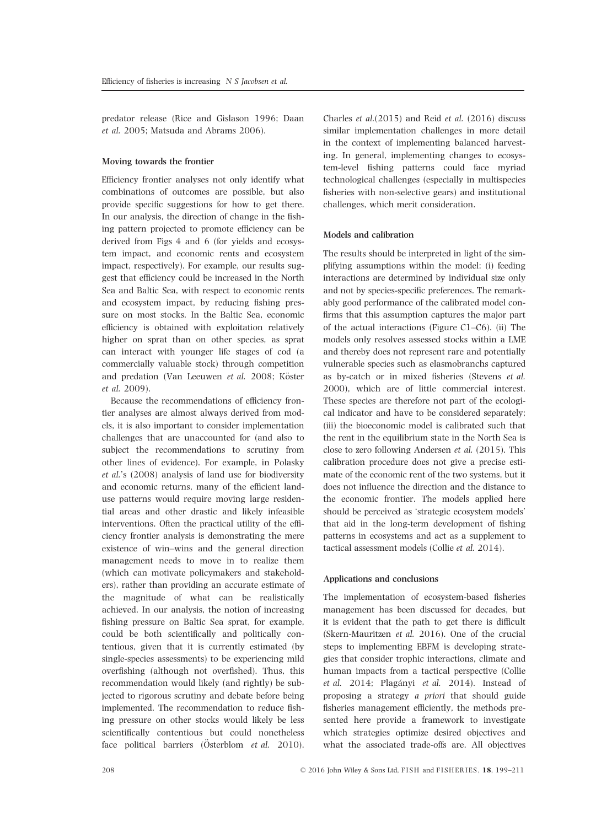predator release (Rice and Gislason 1996; Daan et al. 2005; Matsuda and Abrams 2006).

#### Moving towards the frontier

Efficiency frontier analyses not only identify what combinations of outcomes are possible, but also provide specific suggestions for how to get there. In our analysis, the direction of change in the fishing pattern projected to promote efficiency can be derived from Figs 4 and 6 (for yields and ecosystem impact, and economic rents and ecosystem impact, respectively). For example, our results suggest that efficiency could be increased in the North Sea and Baltic Sea, with respect to economic rents and ecosystem impact, by reducing fishing pressure on most stocks. In the Baltic Sea, economic efficiency is obtained with exploitation relatively higher on sprat than on other species, as sprat can interact with younger life stages of cod (a commercially valuable stock) through competition and predation (Van Leeuwen et al. 2008; Köster et al. 2009).

Because the recommendations of efficiency frontier analyses are almost always derived from models, it is also important to consider implementation challenges that are unaccounted for (and also to subject the recommendations to scrutiny from other lines of evidence). For example, in Polasky et al.'s (2008) analysis of land use for biodiversity and economic returns, many of the efficient landuse patterns would require moving large residential areas and other drastic and likely infeasible interventions. Often the practical utility of the efficiency frontier analysis is demonstrating the mere existence of win–wins and the general direction management needs to move in to realize them (which can motivate policymakers and stakeholders), rather than providing an accurate estimate of the magnitude of what can be realistically achieved. In our analysis, the notion of increasing fishing pressure on Baltic Sea sprat, for example, could be both scientifically and politically contentious, given that it is currently estimated (by single-species assessments) to be experiencing mild overfishing (although not overfished). Thus, this recommendation would likely (and rightly) be subjected to rigorous scrutiny and debate before being implemented. The recommendation to reduce fishing pressure on other stocks would likely be less scientifically contentious but could nonetheless face political barriers (Österblom  $et$   $dl$ , 2010).

Charles et al.(2015) and Reid et al. (2016) discuss similar implementation challenges in more detail in the context of implementing balanced harvesting. In general, implementing changes to ecosystem-level fishing patterns could face myriad technological challenges (especially in multispecies fisheries with non-selective gears) and institutional challenges, which merit consideration.

## Models and calibration

The results should be interpreted in light of the simplifying assumptions within the model: (i) feeding interactions are determined by individual size only and not by species-specific preferences. The remarkably good performance of the calibrated model confirms that this assumption captures the major part of the actual interactions (Figure C1–C6). (ii) The models only resolves assessed stocks within a LME and thereby does not represent rare and potentially vulnerable species such as elasmobranchs captured as by-catch or in mixed fisheries (Stevens et al. 2000), which are of little commercial interest. These species are therefore not part of the ecological indicator and have to be considered separately; (iii) the bioeconomic model is calibrated such that the rent in the equilibrium state in the North Sea is close to zero following Andersen et al. (2015). This calibration procedure does not give a precise estimate of the economic rent of the two systems, but it does not influence the direction and the distance to the economic frontier. The models applied here should be perceived as 'strategic ecosystem models' that aid in the long-term development of fishing patterns in ecosystems and act as a supplement to tactical assessment models (Collie et al. 2014).

#### Applications and conclusions

The implementation of ecosystem-based fisheries management has been discussed for decades, but it is evident that the path to get there is difficult (Skern-Mauritzen et al. 2016). One of the crucial steps to implementing EBFM is developing strategies that consider trophic interactions, climate and human impacts from a tactical perspective (Collie et al. 2014; Plagányi et al. 2014). Instead of proposing a strategy a priori that should guide fisheries management efficiently, the methods presented here provide a framework to investigate which strategies optimize desired objectives and what the associated trade-offs are. All objectives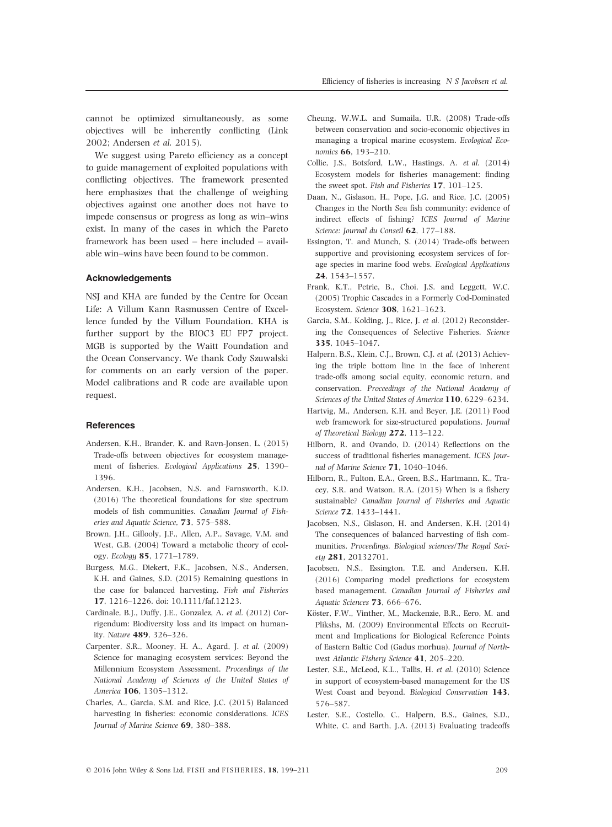cannot be optimized simultaneously, as some objectives will be inherently conflicting (Link 2002; Andersen et al. 2015).

We suggest using Pareto efficiency as a concept to guide management of exploited populations with conflicting objectives. The framework presented here emphasizes that the challenge of weighing objectives against one another does not have to impede consensus or progress as long as win–wins exist. In many of the cases in which the Pareto framework has been used – here included – available win–wins have been found to be common.

### **Acknowledgements**

NSJ and KHA are funded by the Centre for Ocean Life: A Villum Kann Rasmussen Centre of Excellence funded by the Villum Foundation. KHA is further support by the BIOC3 EU FP7 project. MGB is supported by the Waitt Foundation and the Ocean Conservancy. We thank Cody Szuwalski for comments on an early version of the paper. Model calibrations and R code are available upon request.

## References

- Andersen, K.H., Brander, K. and Ravn-Jonsen, L. (2015) Trade-offs between objectives for ecosystem management of fisheries. Ecological Applications 25, 1390– 1396.
- Andersen, K.H., Jacobsen, N.S. and Farnsworth, K.D. (2016) The theoretical foundations for size spectrum models of fish communities. Canadian Journal of Fisheries and Aquatic Science, 73, 575–588.
- Brown, J.H., Gillooly, J.F., Allen, A.P., Savage, V.M. and West, G.B. (2004) Toward a metabolic theory of ecology. Ecology 85, 1771–1789.
- Burgess, M.G., Diekert, F.K., Jacobsen, N.S., Andersen, K.H. and Gaines, S.D. (2015) Remaining questions in the case for balanced harvesting. Fish and Fisheries 17, 1216–1226. doi: [10.1111/faf.12123](http://dx.doi.org/10.1111/faf.12123).
- Cardinale, B.J., Duffy, J.E., Gonzalez, A. et al. (2012) Corrigendum: Biodiversity loss and its impact on humanity. Nature 489, 326–326.
- Carpenter, S.R., Mooney, H. A., Agard, J. et al. (2009) Science for managing ecosystem services: Beyond the Millennium Ecosystem Assessment. Proceedings of the National Academy of Sciences of the United States of America 106, 1305–1312.
- Charles, A., Garcia, S.M. and Rice, J.C. (2015) Balanced harvesting in fisheries: economic considerations. ICES Journal of Marine Science 69, 380–388.
- Cheung, W.W.L. and Sumaila, U.R. (2008) Trade-offs between conservation and socio-economic objectives in managing a tropical marine ecosystem. Ecological Economics 66, 193–210.
- Collie, J.S., Botsford, L.W., Hastings, A. et al. (2014) Ecosystem models for fisheries management: finding the sweet spot. Fish and Fisheries 17, 101–125.
- Daan, N., Gislason, H., Pope, J.G. and Rice, J.C. (2005) Changes in the North Sea fish community: evidence of indirect effects of fishing? ICES Journal of Marine Science: Journal du Conseil 62, 177–188.
- Essington, T. and Munch, S. (2014) Trade-offs between supportive and provisioning ecosystem services of forage species in marine food webs. Ecological Applications 24, 1543–1557.
- Frank, K.T., Petrie, B., Choi, J.S. and Leggett, W.C. (2005) Trophic Cascades in a Formerly Cod-Dominated Ecosystem. Science 308, 1621–1623.
- Garcia, S.M., Kolding, J., Rice, J. et al. (2012) Reconsidering the Consequences of Selective Fisheries. Science 335, 1045–1047.
- Halpern, B.S., Klein, C.J., Brown, C.J. et al. (2013) Achieving the triple bottom line in the face of inherent trade-offs among social equity, economic return, and conservation. Proceedings of the National Academy of Sciences of the United States of America 110, 6229–6234.
- Hartvig, M., Andersen, K.H. and Beyer, J.E. (2011) Food web framework for size-structured populations. Journal of Theoretical Biology 272, 113–122.
- Hilborn, R. and Ovando, D. (2014) Reflections on the success of traditional fisheries management. ICES Journal of Marine Science 71, 1040–1046.
- Hilborn, R., Fulton, E.A., Green, B.S., Hartmann, K., Tracey, S.R. and Watson, R.A. (2015) When is a fishery sustainable? Canadian Journal of Fisheries and Aquatic Science 72, 1433–1441.
- Jacobsen, N.S., Gislason, H. and Andersen, K.H. (2014) The consequences of balanced harvesting of fish communities. Proceedings. Biological sciences/The Royal Society 281, 20132701.
- Jacobsen, N.S., Essington, T.E. and Andersen, K.H. (2016) Comparing model predictions for ecosystem based management. Canadian Journal of Fisheries and Aquatic Sciences 73, 666–676.
- Köster, F.W., Vinther, M., Mackenzie, B.R., Eero, M. and Plikshs, M. (2009) Environmental Effects on Recruitment and Implications for Biological Reference Points of Eastern Baltic Cod (Gadus morhua). Journal of Northwest Atlantic Fishery Science 41, 205–220.
- Lester, S.E., McLeod, K.L., Tallis, H. et al. (2010) Science in support of ecosystem-based management for the US West Coast and beyond. Biological Conservation 143, 576–587.
- Lester, S.E., Costello, C., Halpern, B.S., Gaines, S.D., White, C. and Barth, J.A. (2013) Evaluating tradeoffs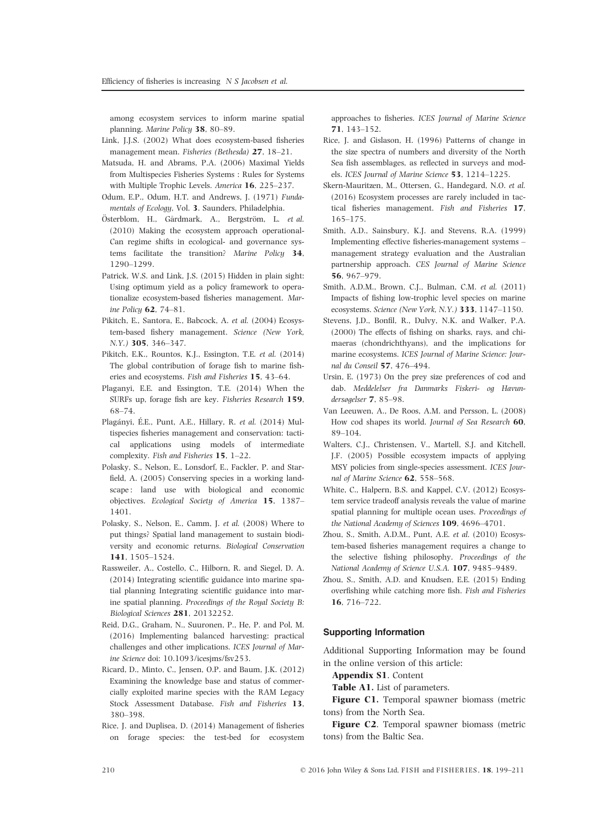among ecosystem services to inform marine spatial planning. Marine Policy 38, 80–89.

- Link, J.J.S. (2002) What does ecosystem-based fisheries management mean. Fisheries (Bethesda) 27, 18–21.
- Matsuda, H. and Abrams, P.A. (2006) Maximal Yields from Multispecies Fisheries Systems : Rules for Systems with Multiple Trophic Levels. America 16, 225–237.
- Odum, E.P., Odum, H.T. and Andrews, J. (1971) Fundamentals of Ecology, Vol. 3. Saunders, Philadelphia.
- Österblom, H., Gårdmark, A., Bergström, L. et al. (2010) Making the ecosystem approach operational-Can regime shifts in ecological- and governance systems facilitate the transition? Marine Policy 34, 1290–1299.
- Patrick, W.S. and Link, J.S. (2015) Hidden in plain sight: Using optimum yield as a policy framework to operationalize ecosystem-based fisheries management. Marine Policy 62, 74–81.
- Pikitch, E., Santora, E., Babcock, A. et al. (2004) Ecosystem-based fishery management. Science (New York, N.Y.) 305, 346–347.
- Pikitch, E.K., Rountos, K.J., Essington, T.E. et al. (2014) The global contribution of forage fish to marine fisheries and ecosystems. Fish and Fisheries 15, 43–64.
- Plaganyi, E.E. and Essington, T.E. (2014) When the SURFs up, forage fish are key. Fisheries Research 159, 68–74.
- Plagányi, É.E., Punt, A.E., Hillary, R. *et al.* (2014) Multispecies fisheries management and conservation: tactical applications using models of intermediate complexity. Fish and Fisheries 15, 1–22.
- Polasky, S., Nelson, E., Lonsdorf, E., Fackler, P. and Starfield, A. (2005) Conserving species in a working landscape: land use with biological and economic objectives. Ecological Society of America 15, 1387– 1401.
- Polasky, S., Nelson, E., Camm, J. et al. (2008) Where to put things? Spatial land management to sustain biodiversity and economic returns. Biological Conservation 141, 1505–1524.
- Rassweiler, A., Costello, C., Hilborn, R. and Siegel, D. A. (2014) Integrating scientific guidance into marine spatial planning Integrating scientific guidance into marine spatial planning. Proceedings of the Royal Society B: Biological Sciences 281, 20132252.
- Reid, D.G., Graham, N., Suuronen, P., He, P. and Pol, M. (2016) Implementing balanced harvesting: practical challenges and other implications. ICES Journal of Marine Science doi: [10.1093/icesjms/fsv253.](http://dx.doi.org/10.1093/icesjms/fsv253)
- Ricard, D., Minto, C., Jensen, O.P. and Baum, J.K. (2012) Examining the knowledge base and status of commercially exploited marine species with the RAM Legacy Stock Assessment Database. Fish and Fisheries 13, 380–398.
- Rice, J. and Duplisea, D. (2014) Management of fisheries on forage species: the test-bed for ecosystem

approaches to fisheries. ICES Journal of Marine Science 71, 143–152.

- Rice, J. and Gislason, H. (1996) Patterns of change in the size spectra of numbers and diversity of the North Sea fish assemblages, as reflected in surveys and models. ICES Journal of Marine Science 53, 1214–1225.
- Skern-Mauritzen, M., Ottersen, G., Handegard, N.O. et al. (2016) Ecosystem processes are rarely included in tactical fisheries management. Fish and Fisheries 17, 165–175.
- Smith, A.D., Sainsbury, K.J. and Stevens, R.A. (1999) Implementing effective fisheries-management systems – management strategy evaluation and the Australian partnership approach. CES Journal of Marine Science 56, 967–979.
- Smith, A.D.M., Brown, C.J., Bulman, C.M. et al. (2011) Impacts of fishing low-trophic level species on marine ecosystems. Science (New York, N.Y.) 333, 1147–1150.
- Stevens, J.D., Bonfil, R., Dulvy, N.K. and Walker, P.A. (2000) The effects of fishing on sharks, rays, and chimaeras (chondrichthyans), and the implications for marine ecosystems. ICES Journal of Marine Science: Journal du Conseil 57, 476–494.
- Ursin, E. (1973) On the prey size preferences of cod and dab. Meddelelser fra Danmarks Fiskeri- og Havundersøgelser 7, 85–98.
- Van Leeuwen, A., De Roos, A.M. and Persson, L. (2008) How cod shapes its world. Journal of Sea Research 60, 89–104.
- Walters, C.J., Christensen, V., Martell, S.J. and Kitchell, J.F. (2005) Possible ecosystem impacts of applying MSY policies from single-species assessment. ICES Journal of Marine Science 62, 558–568.
- White, C., Halpern, B.S. and Kappel, C.V. (2012) Ecosystem service tradeoff analysis reveals the value of marine spatial planning for multiple ocean uses. Proceedings of the National Academy of Sciences 109, 4696-4701.
- Zhou, S., Smith, A.D.M., Punt, A.E. et al. (2010) Ecosystem-based fisheries management requires a change to the selective fishing philosophy. Proceedings of the National Academy of Science U.S.A. 107, 9485–9489.
- Zhou, S., Smith, A.D. and Knudsen, E.E. (2015) Ending overfishing while catching more fish. Fish and Fisheries 16, 716–722.

# Supporting Information

Additional Supporting Information may be found in the online version of this article:

Appendix S1. Content

Table A1. List of parameters.

Figure C1. Temporal spawner biomass (metric tons) from the North Sea.

Figure C2. Temporal spawner biomass (metric tons) from the Baltic Sea.